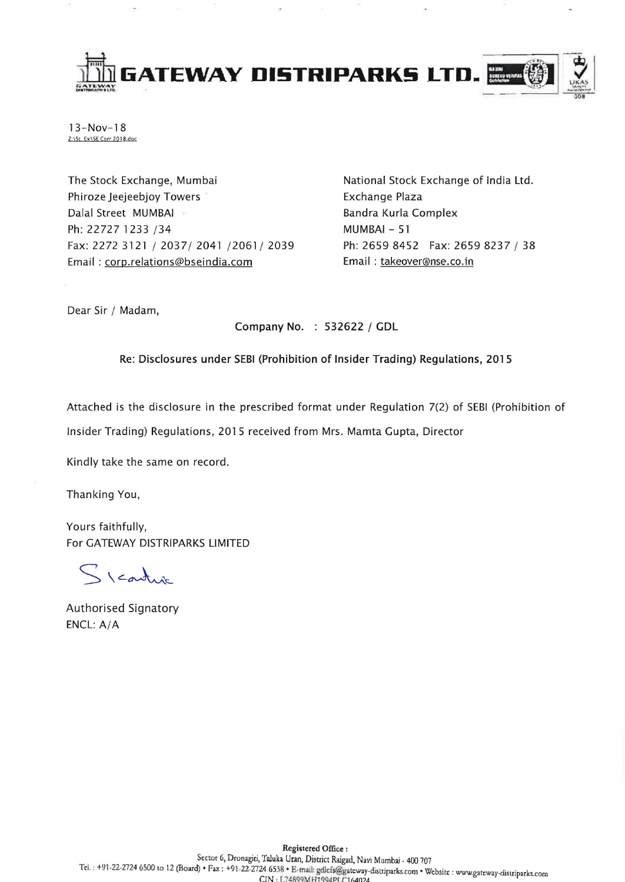

 $13 - Nov - 18$ Z:\St. Ex\SE Corr 2018.doc

The Stock Exchange, Mumbai Phiroze Jeejeebjoy Towers Dalal Street MUMBAI ' Ph: 22727 1233 /34 Fax: 2272 3121/2037/2041/2061/2039 Email: corp.relations@bseindia.com

National Stock Exchange of India Ltd. Exchange Plaza Bandra Kurla Complex MUMBAI - 51 Ph: 2659 8452 Fax: 2659 8237 / 38 Email: takeover@nse.co.in

Dear Sir / Madam,

Company No. : 532622 / GDL

Re: Disclosures under SEBI (Prohibition of Insider Trading) Regulations, 2015

Attached is the disclosure in the prescribed format under Regulation 7(2) of SEBI (Prohibition of

Insider Trading) Regulations, 2015 received from Mrs. Mamta Gupta, Director

Kindly take the same on record.

Thanking You,

Yours faithfully, For GATEWAY DISTRIPARKS LIMITED

Scartus

Authorised Signatory ENCL: A/A